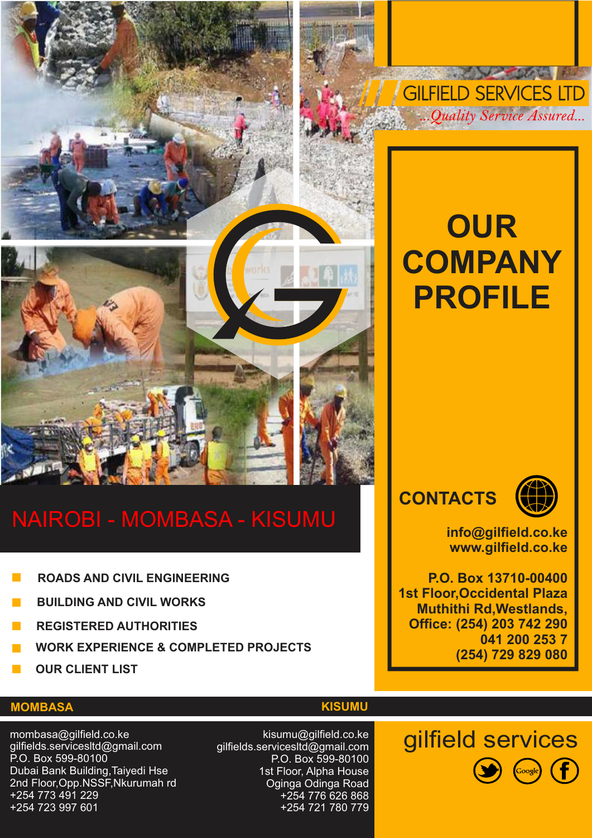

# NAIROBI - MOMBASA - KISUMU

- **ROADS AND CIVIL ENGINEERING**
- **BUILDING AND CIVIL WORKS**
- **REGISTERED AUTHORITIES**
- **WORK EXPERIENCE & COMPLETED PROJECTS**
- **OUR CLIENT LIST**

# **OUR COMPANY PROFILE**

**AND AND** 

**GILFIELD SERVICES LTD** 

..Ouality Service Assured...

**CONTACTS**



**info@gilfield.co.ke www.gilfield.co.ke**

**P.O. Box 13710-00400 1st Floor,Occidental Plaza Muthithi Rd,Westlands, Office: (254) 203 742 290 041 200 253 7 (254) 729 829 080**

### **MOMBASA**

mombasa@gilfield.co.ke gilfields.servicesltd@gmail.com P.O. Box 599-80100 Dubai Bank Building,Taiyedi Hse 2nd Floor,Opp.NSSF,Nkurumah rd +254 773 491 229 +254 723 997 601

kisumu@gilfield.co.ke gilfields.servicesltd@gmail.com P.O. Box 599-80100 1st Floor, Alpha House Oginga Odinga Road +254 776 626 868 +254 721 780 779

#### **KISUMU**

gilfield services  $\left(\begin{matrix} \text{cosle} \end{matrix}\right)$   $\left(\begin{matrix} f \end{matrix}\right)$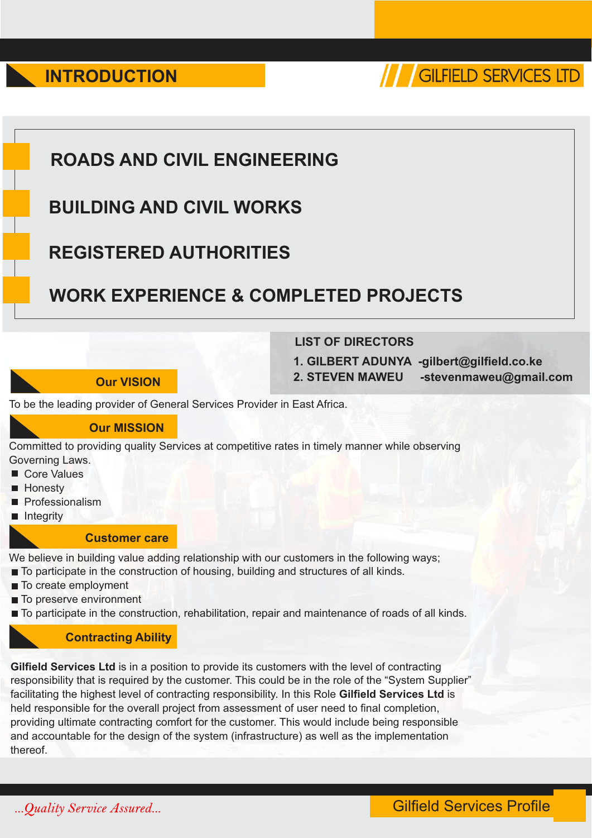**INTRODUCTION** 



# **ROADS AND CIVIL ENGINEERING**

# **BUILDING AND CIVIL WORKS**

# **REGISTERED AUTHORITIES**

# **WORK EXPERIENCE & COMPLETED PROJECTS**

### **Our VISION**

#### **LIST OF DIRECTORS**

**1. GILBERT ADUNYA -gilbert@gilfield.co.ke**

**2. STEVEN MAWEU -stevenmaweu@gmail.com**

To be the leading provider of General Services Provider in East Africa.

#### **Our MISSION**

Committed to providing quality Services at competitive rates in timely manner while observing Governing Laws.

- Core Values
- **Honesty**
- **Professionalism**
- Integrity

#### **Customer care**

We believe in building value adding relationship with our customers in the following ways;

- To participate in the construction of housing, building and structures of all kinds.
- To create employment
- To preserve environment

 $\blacksquare$  To participate in the construction, rehabilitation, repair and maintenance of roads of all kinds.

#### **Contracting Ability**

**Gilfield Services Ltd** is in a position to provide its customers with the level of contracting responsibility that is required by the customer. This could be in the role of the "System Supplier" facilitating the highest level of contracting responsibility. In this Role **Gilfield Services Ltd** is held responsible for the overall project from assessment of user need to final completion, providing ultimate contracting comfort for the customer. This would include being responsible and accountable for the design of the system (infrastructure) as well as the implementation thereof.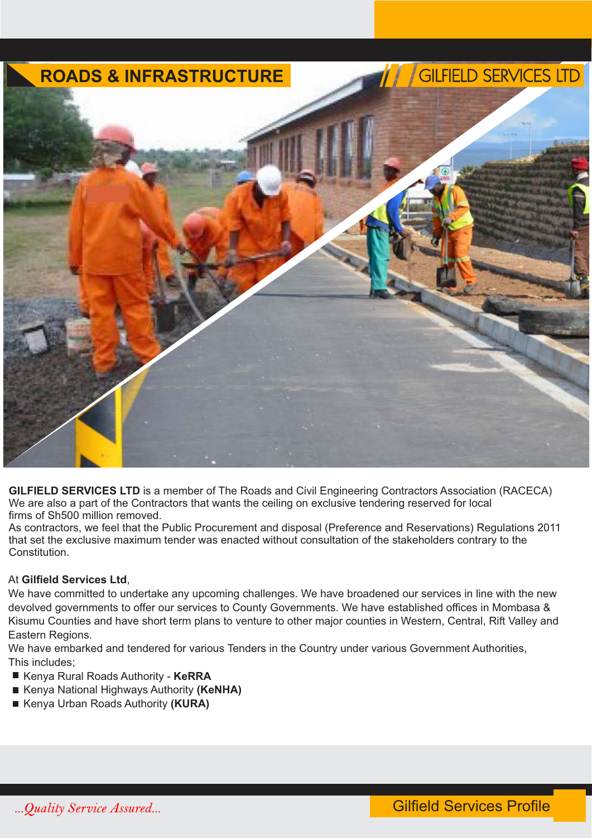

**GILFIELD SERVICES LTD** is a member of The Roads and Civil Engineering Contractors Association (RACECA) We are also a part of the Contractors that wants the ceiling on exclusive tendering reserved for local firms of Sh500 million removed.

As contractors, we feel that the Public Procurement and disposal (Preference and Reservations) Regulations 2011 that set the exclusive maximum tender was enacted without consultation of the stakeholders contrary to the **Constitution** 

#### At **Gilfield Services Ltd**,

We have committed to undertake any upcoming challenges. We have broadened our services in line with the new devolved governments to offer our services to County Governments. We have established offices in Mombasa & Kisumu Counties and have short term plans to venture to other major counties in Western, Central, Rift Valley and Eastern Regions.

We have embarked and tendered for various Tenders in the Country under various Government Authorities, This includes;

- Kenya Rural Roads Authority KeRRA
- Kenya National Highways Authority (KeNHA)
- Kenya Urban Roads Authority (KURA)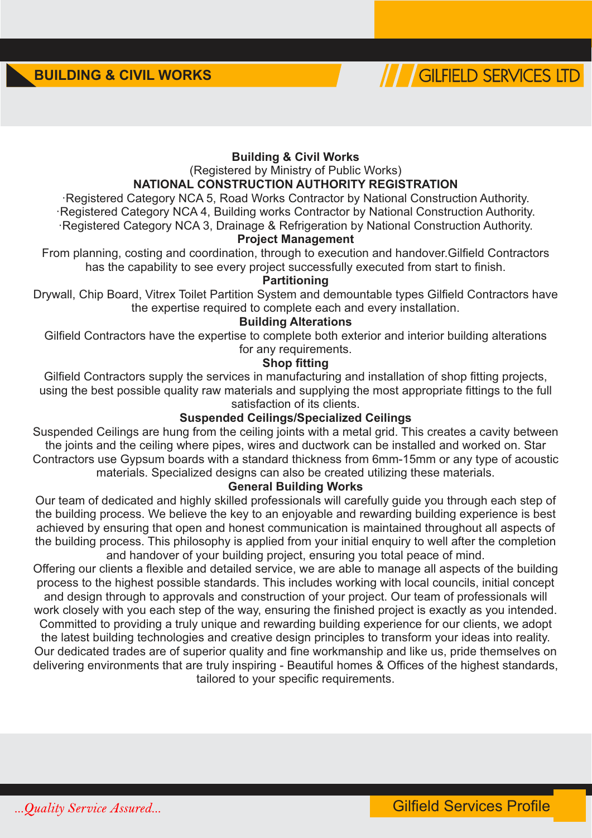

#### **Building & Civil Works**

(Registered by Ministry of Public Works)

#### **NATIONAL CONSTRUCTION AUTHORITY REGISTRATION**

· Registered Category NCA 5, Road Works Contractor by National Construction Authority.

· Registered Category NCA 4, Building works Contractor by National Construction Authority. · Registered Category NCA 3, Drainage & Refrigeration by National Construction Authority.

**Project Management**

From planning, costing and coordination, through to execution and handover.Gilfield Contractors has the capability to see every project successfully executed from start to finish.

#### **Partitioning**

Drywall, Chip Board, Vitrex Toilet Partition System and demountable types Gilfield Contractors have the expertise required to complete each and every installation.

#### **Building Alterations**

Gilfield Contractors have the expertise to complete both exterior and interior building alterations for any requirements.

#### **Shop fitting**

Gilfield Contractors supply the services in manufacturing and installation of shop fitting projects, using the best possible quality raw materials and supplying the most appropriate fittings to the full satisfaction of its clients.

#### **Suspended Ceilings/Specialized Ceilings**

Suspended Ceilings are hung from the ceiling joints with a metal grid. This creates a cavity between the joints and the ceiling where pipes, wires and ductwork can be installed and worked on. Star Contractors use Gypsum boards with a standard thickness from 6mm-15mm or any type of acoustic materials. Specialized designs can also be created utilizing these materials.

#### **General Building Works**

Our team of dedicated and highly skilled professionals will carefully guide you through each step of the building process. We believe the key to an enjoyable and rewarding building experience is best achieved by ensuring that open and honest communication is maintained throughout all aspects of the building process. This philosophy is applied from your initial enquiry to well after the completion and handover of your building project, ensuring you total peace of mind.

Offering our clients a flexible and detailed service, we are able to manage all aspects of the building process to the highest possible standards. This includes working with local councils, initial concept and design through to approvals and construction of your project. Our team of professionals will work closely with you each step of the way, ensuring the finished project is exactly as you intended. Committed to providing a truly unique and rewarding building experience for our clients, we adopt the latest building technologies and creative design principles to transform your ideas into reality. Our dedicated trades are of superior quality and fine workmanship and like us, pride themselves on delivering environments that are truly inspiring - Beautiful homes & Offices of the highest standards, tailored to your specific requirements.